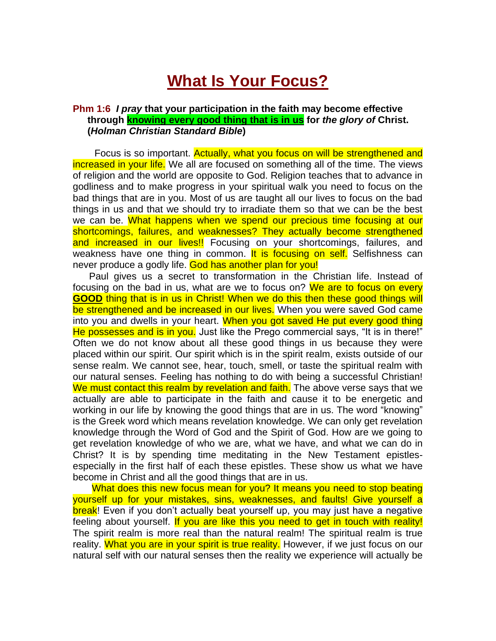## **What Is Your Focus?**

## **Phm 1:6** *I pray* **that your participation in the faith may become effective through knowing every good thing that is in us for** *the glory of* **Christ. (***Holman Christian Standard Bible***)**

Focus is so important. Actually, what you focus on will be strengthened and increased in your life. We all are focused on something all of the time. The views of religion and the world are opposite to God. Religion teaches that to advance in godliness and to make progress in your spiritual walk you need to focus on the bad things that are in you. Most of us are taught all our lives to focus on the bad things in us and that we should try to irradiate them so that we can be the best we can be. What happens when we spend our precious time focusing at our shortcomings, failures, and weaknesses? They actually become strengthened and increased in our lives!! Focusing on your shortcomings, failures, and weakness have one thing in common. It is focusing on self. Selfishness can never produce a godly life. God has another plan for you!

 Paul gives us a secret to transformation in the Christian life. Instead of focusing on the bad in us, what are we to focus on? We are to focus on every **GOOD** thing that is in us in Christ! When we do this then these good things will be strengthened and be increased in our lives. When you were saved God came into you and dwells in your heart. When you got saved He put every good thing He possesses and is in you. Just like the Prego commercial says, "It is in there!" Often we do not know about all these good things in us because they were placed within our spirit. Our spirit which is in the spirit realm, exists outside of our sense realm. We cannot see, hear, touch, smell, or taste the spiritual realm with our natural senses. Feeling has nothing to do with being a successful Christian! We must contact this realm by revelation and faith. The above verse says that we actually are able to participate in the faith and cause it to be energetic and working in our life by knowing the good things that are in us. The word "knowing" is the Greek word which means revelation knowledge. We can only get revelation knowledge through the Word of God and the Spirit of God. How are we going to get revelation knowledge of who we are, what we have, and what we can do in Christ? It is by spending time meditating in the New Testament epistlesespecially in the first half of each these epistles. These show us what we have become in Christ and all the good things that are in us.

What does this new focus mean for you? It means you need to stop beating yourself up for your mistakes, sins, weaknesses, and faults! Give yourself a break! Even if you don't actually beat yourself up, you may just have a negative feeling about yourself. If you are like this you need to get in touch with reality! The spirit realm is more real than the natural realm! The spiritual realm is true reality. What you are in your spirit is true reality. However, if we just focus on our natural self with our natural senses then the reality we experience will actually be